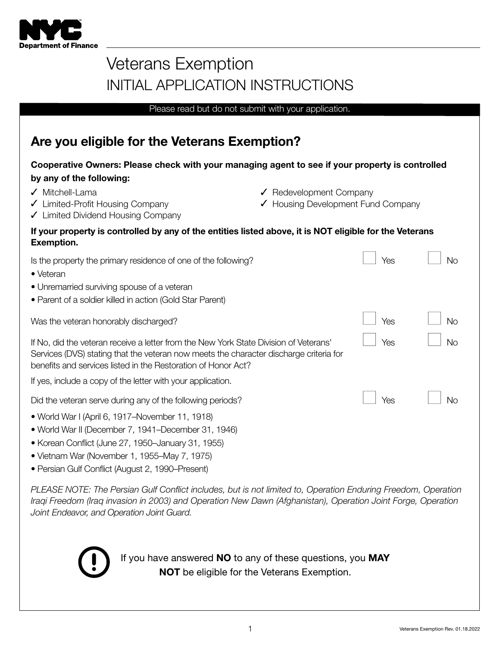

# Veterans Exemption INITIAL APPLICATION INSTRUCTIONS

Please read but do not submit with your application.

# Are you eligible for the Veterans Exemption?

## Cooperative Owners: Please check with your managing agent to see if your property is controlled by any of the following:

- 
- ✓ Mitchell-Lama ✓ Redevelopment Company
- ✓ Limited-Profit Housing Company ✓ Housing Development Fund Company
- ✓ Limited Dividend Housing Company

| If your property is controlled by any of the entities listed above, it is NOT eligible for the Veterans |  |
|---------------------------------------------------------------------------------------------------------|--|
| <b>Exemption.</b>                                                                                       |  |

| Is the property the primary residence of one of the following?<br>• Veteran                                                                                                                                                                                                                                                        | Yes | Νo        |
|------------------------------------------------------------------------------------------------------------------------------------------------------------------------------------------------------------------------------------------------------------------------------------------------------------------------------------|-----|-----------|
| • Unremarried surviving spouse of a veteran                                                                                                                                                                                                                                                                                        |     |           |
| • Parent of a soldier killed in action (Gold Star Parent)                                                                                                                                                                                                                                                                          |     |           |
| Was the veteran honorably discharged?                                                                                                                                                                                                                                                                                              | Yes | <b>No</b> |
| If No, did the veteran receive a letter from the New York State Division of Veterans'<br>Services (DVS) stating that the veteran now meets the character discharge criteria for<br>benefits and services listed in the Restoration of Honor Act?                                                                                   | Yes | <b>No</b> |
| If yes, include a copy of the letter with your application.                                                                                                                                                                                                                                                                        |     |           |
| Did the veteran serve during any of the following periods?                                                                                                                                                                                                                                                                         | Yes | <b>No</b> |
| • World War I (April 6, 1917–November 11, 1918)                                                                                                                                                                                                                                                                                    |     |           |
| • World War II (December 7, 1941–December 31, 1946)                                                                                                                                                                                                                                                                                |     |           |
| • Korean Conflict (June 27, 1950–January 31, 1955)                                                                                                                                                                                                                                                                                 |     |           |
| $\mathbf{M}$ $\mathbf{M}$ $\mathbf{M}$ $\mathbf{M}$ $\mathbf{M}$ $\mathbf{M}$ $\mathbf{M}$ $\mathbf{M}$ $\mathbf{M}$ $\mathbf{M}$ $\mathbf{M}$ $\mathbf{M}$ $\mathbf{M}$ $\mathbf{M}$ $\mathbf{M}$ $\mathbf{M}$ $\mathbf{M}$ $\mathbf{M}$ $\mathbf{M}$ $\mathbf{M}$ $\mathbf{M}$ $\mathbf{M}$ $\mathbf{M}$ $\mathbf{M}$ $\mathbf{$ |     |           |

- Vietnam War (November 1, 1955–May 7, 1975)
- Persian Gulf Conflict (August 2, 1990–Present)

PLEASE NOTE: The Persian Gulf Conflict includes, but is not limited to, Operation Enduring Freedom, Operation Iraqi Freedom (Iraq invasion in 2003) and Operation New Dawn (Afghanistan), Operation Joint Forge, Operation Joint Endeavor, and Operation Joint Guard.



If you have answered NO to any of these questions, you MAY NOT be eligible for the Veterans Exemption.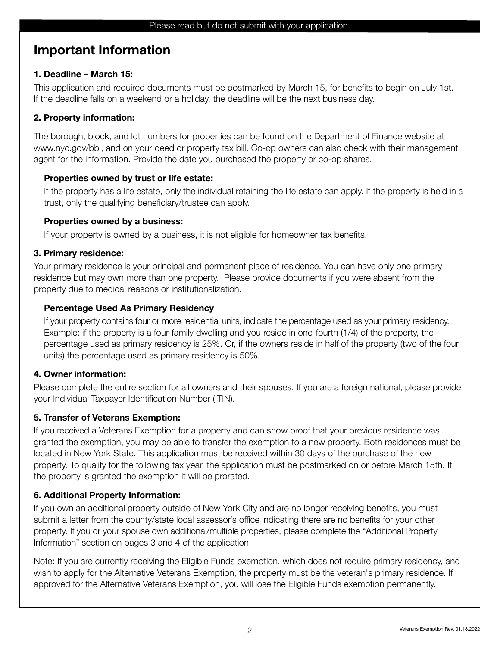# Important Information

## 1. Deadline – March 15:

This application and required documents must be postmarked by March 15, for benefits to begin on July 1st. If the deadline falls on a weekend or a holiday, the deadline will be the next business day.

# 2. Property information:

The borough, block, and lot numbers for properties can be found on the Department of Finance website at www.nyc.gov/bbl, and on your deed or property tax bill. Co-op owners can also check with their management agent for the information. Provide the date you purchased the property or co-op shares.

# Properties owned by trust or life estate:

 If the property has a life estate, only the individual retaining the life estate can apply. If the property is held in a trust, only the qualifying beneficiary/trustee can apply.

# Properties owned by a business:

If your property is owned by a business, it is not eligible for homeowner tax benefits.

## 3. Primary residence:

Your primary residence is your principal and permanent place of residence. You can have only one primary residence but may own more than one property. Please provide documents if you were absent from the property due to medical reasons or institutionalization.

# Percentage Used As Primary Residency

 If your property contains four or more residential units, indicate the percentage used as your primary residency. Example: if the property is a four-family dwelling and you reside in one-fourth (1/4) of the property, the percentage used as primary residency is 25%. Or, if the owners reside in half of the property (two of the four units) the percentage used as primary residency is 50%.

# 4. Owner information:

Please complete the entire section for all owners and their spouses. If you are a foreign national, please provide your Individual Taxpayer Identification Number (ITIN).

# 5. Transfer of Veterans Exemption:

If you received a Veterans Exemption for a property and can show proof that your previous residence was granted the exemption, you may be able to transfer the exemption to a new property. Both residences must be located in New York State. This application must be received within 30 days of the purchase of the new property. To qualify for the following tax year, the application must be postmarked on or before March 15th. If the property is granted the exemption it will be prorated.

# 6. Additional Property Information:

If you own an additional property outside of New York City and are no longer receiving benefits, you must submit a letter from the county/state local assessor's office indicating there are no benefits for your other property. If you or your spouse own additional/multiple properties, please complete the "Additional Property Information" section on pages 3 and 4 of the application.

Note: If you are currently receiving the Eligible Funds exemption, which does not require primary residency, and wish to apply for the Alternative Veterans Exemption, the property must be the veteran's primary residence. If approved for the Alternative Veterans Exemption, you will lose the Eligible Funds exemption permanently.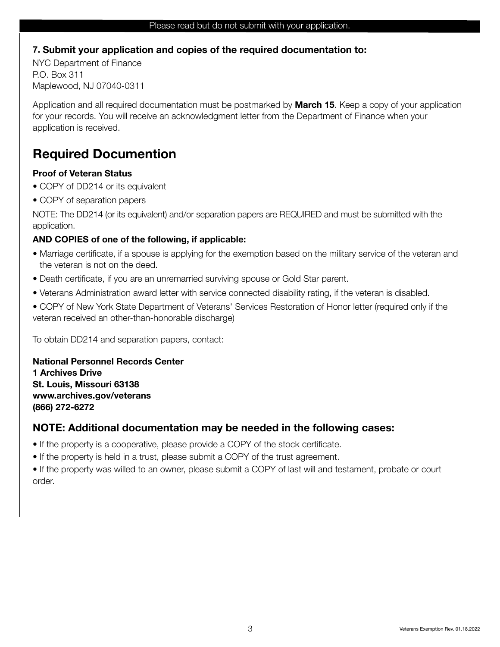#### 7. Submit your application and copies of the required documentation to:

NYC Department of Finance P.O. Box 311 Maplewood, NJ 07040-0311

Application and all required documentation must be postmarked by **March 15**. Keep a copy of your application for your records. You will receive an acknowledgment letter from the Department of Finance when your application is received.

# Required Documention

#### Proof of Veteran Status

- COPY of DD214 or its equivalent
- COPY of separation papers

NOTE: The DD214 (or its equivalent) and/or separation papers are REQUIRED and must be submitted with the application.

#### AND COPIES of one of the following, if applicable:

- Marriage certificate, if a spouse is applying for the exemption based on the military service of the veteran and the veteran is not on the deed.
- Death certificate, if you are an unremarried surviving spouse or Gold Star parent.
- Veterans Administration award letter with service connected disability rating, if the veteran is disabled.
- COPY of New York State Department of Veterans' Services Restoration of Honor letter (required only if the veteran received an other-than-honorable discharge)

To obtain DD214 and separation papers, contact:

National Personnel Records Center 1 Archives Drive St. Louis, Missouri 63138

www.archives.gov/veterans (866) 272-6272

#### NOTE: Additional documentation may be needed in the following cases:

- If the property is a cooperative, please provide a COPY of the stock certificate.
- If the property is held in a trust, please submit a COPY of the trust agreement.

• If the property was willed to an owner, please submit a COPY of last will and testament, probate or court order.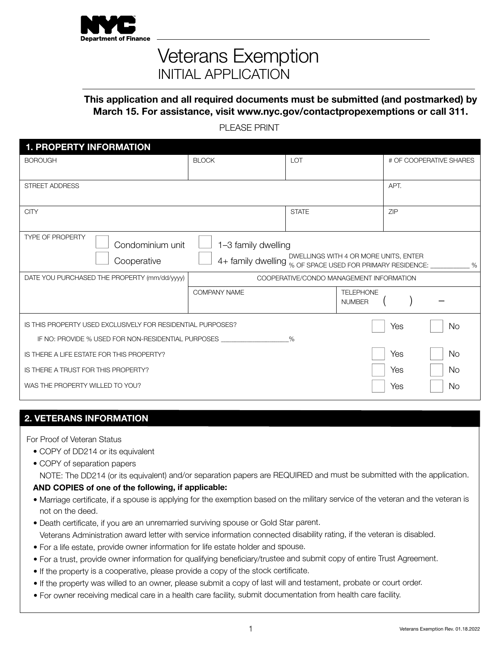

# Veterans Exemption INITIAL APPLICATION

#### This application and all required documents must be submitted (and postmarked) by March 15. For assistance, visit www.nyc.gov/contactpropexemptions or call 311.

PI FASE PRINT

| <b>1. PROPERTY INFORMATION</b>                              |                                                                          |                                          |                                   |      |                         |
|-------------------------------------------------------------|--------------------------------------------------------------------------|------------------------------------------|-----------------------------------|------|-------------------------|
| <b>BOROUGH</b>                                              | <b>BLOCK</b>                                                             | <b>LOT</b>                               |                                   |      | # OF COOPERATIVE SHARES |
|                                                             |                                                                          |                                          |                                   |      |                         |
| <b>STREET ADDRESS</b>                                       |                                                                          |                                          |                                   | APT. |                         |
|                                                             |                                                                          |                                          |                                   |      |                         |
| <b>CITY</b>                                                 |                                                                          | <b>STATE</b>                             |                                   | ZIP  |                         |
|                                                             |                                                                          |                                          |                                   |      |                         |
| <b>TYPE OF PROPERTY</b><br>Condominium unit                 | 1-3 family dwelling                                                      |                                          |                                   |      |                         |
| Cooperative                                                 | 4+ family dwelling % OF SPACE USED FOR PRIMARY RESIDENCE: ____________ % | DWELLINGS WITH 4 OR MORE UNITS, ENTER    |                                   |      |                         |
|                                                             |                                                                          |                                          |                                   |      |                         |
| DATE YOU PURCHASED THE PROPERTY (mm/dd/yyyy)                |                                                                          | COOPERATIVE/CONDO MANAGEMENT INFORMATION |                                   |      |                         |
|                                                             | <b>COMPANY NAME</b>                                                      |                                          | <b>TELEPHONE</b><br><b>NUMBER</b> |      |                         |
|                                                             |                                                                          |                                          |                                   |      |                         |
| IS THIS PROPERTY USED EXCLUSIVELY FOR RESIDENTIAL PURPOSES? |                                                                          |                                          |                                   | Yes  | <b>No</b>               |
| IF NO: PROVIDE % USED FOR NON-RESIDENTIAL PURPOSES          |                                                                          | $\%$                                     |                                   |      |                         |
| IS THERE A LIFE ESTATE FOR THIS PROPERTY?                   |                                                                          |                                          |                                   | Yes  | <b>No</b>               |
| IS THERE A TRUST FOR THIS PROPERTY?                         |                                                                          |                                          |                                   | Yes  | No.                     |
| WAS THE PROPERTY WILLED TO YOU?                             |                                                                          |                                          |                                   | Yes  | No                      |

#### 2. VETERANS INFORMATION

For Proof of Veteran Status

- COPY of DD214 or its equivalent
- COPY of separation papers

NOTE: The DD214 (or its equivalent) and/or separation papers are REQUIRED and must be submitted with the application.

#### AND COPIES of one of the following, if applicable:

- Marriage certificate, if a spouse is applying for the exemption based on the military service of the veteran and the veteran is not on the deed.
- Death certificate, if you are an unremarried surviving spouse or Gold Star parent. Veterans Administration award letter with service information connected disability rating, if the veteran is disabled.
- For a life estate, provide owner information for life estate holder and spouse.
- For a trust, provide owner information for qualifying beneficiary/trustee and submit copy of entire Trust Agreement.
- If the property is a cooperative, please provide a copy of the stock certificate.
- If the property was willed to an owner, please submit a copy of last will and testament, probate or court order.
- For owner receiving medical care in a health care facility, submit documentation from health care facility.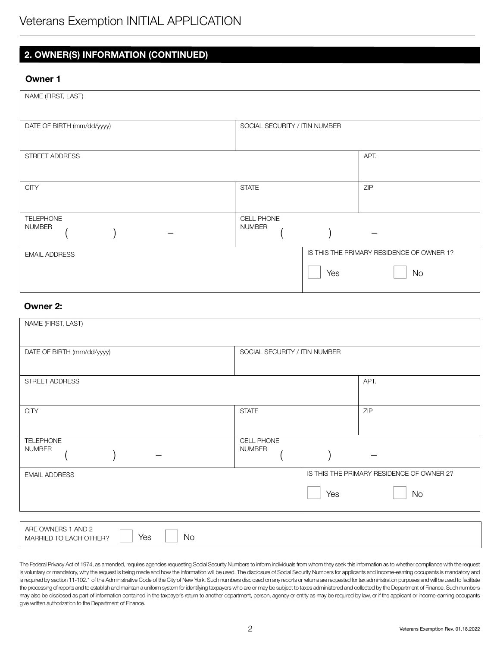# Veterans Exemption INITIAL APPLICATION

## 2. OWNER(S) INFORMATION (CONTINUED)

#### Owner 1

| NAME (FIRST, LAST)         |                               |                                           |
|----------------------------|-------------------------------|-------------------------------------------|
| DATE OF BIRTH (mm/dd/yyyy) | SOCIAL SECURITY / ITIN NUMBER |                                           |
| STREET ADDRESS             |                               | APT.                                      |
| <b>CITY</b>                | <b>STATE</b>                  | ZIP                                       |
| TELEPHONE<br><b>NUMBER</b> | CELL PHONE<br><b>NUMBER</b>   |                                           |
| <b>EMAIL ADDRESS</b>       |                               | IS THIS THE PRIMARY RESIDENCE OF OWNER 1? |
|                            | Yes                           | <b>No</b>                                 |

#### Owner 2:

| NAME (FIRST, LAST)                                               |                               |     |                                           |
|------------------------------------------------------------------|-------------------------------|-----|-------------------------------------------|
| DATE OF BIRTH (mm/dd/yyyy)                                       | SOCIAL SECURITY / ITIN NUMBER |     |                                           |
| STREET ADDRESS                                                   |                               |     | APT.                                      |
| <b>CITY</b>                                                      | <b>STATE</b>                  |     | ZIP                                       |
| <b>TELEPHONE</b><br><b>NUMBER</b>                                | CELL PHONE<br><b>NUMBER</b>   |     |                                           |
| <b>EMAIL ADDRESS</b>                                             |                               |     | IS THIS THE PRIMARY RESIDENCE OF OWNER 2? |
|                                                                  |                               | Yes | <b>No</b>                                 |
|                                                                  |                               |     |                                           |
| ARE OWNERS 1 AND 2<br><b>No</b><br>Yes<br>MARRIED TO EACH OTHER? |                               |     |                                           |

The Federal Privacy Act of 1974, as amended, requires agencies requesting Social Security Numbers to inform individuals from whom they seek this information as to whether compliance with the request is voluntary or mandatory, why the request is being made and how the information will be used. The disclosure of Social Security Numbers for applicants and income-earning occupants is mandatory and is required by section 11-102.1 of the Administrative Code of the City of New York. Such numbers disclosed on any reports or returns are requested for tax administration purposes and will be used to facilitate the processing of reports and to establish and maintain a uniform system for identifying taxpayers who are or may be subject to taxes administered and collected by the Department of Finance. Such numbers may also be disclosed as part of information contained in the taxpayer's return to another department, person, agency or entity as may be required by law, or if the applicant or income-earning occupants give written authorization to the Department of Finance.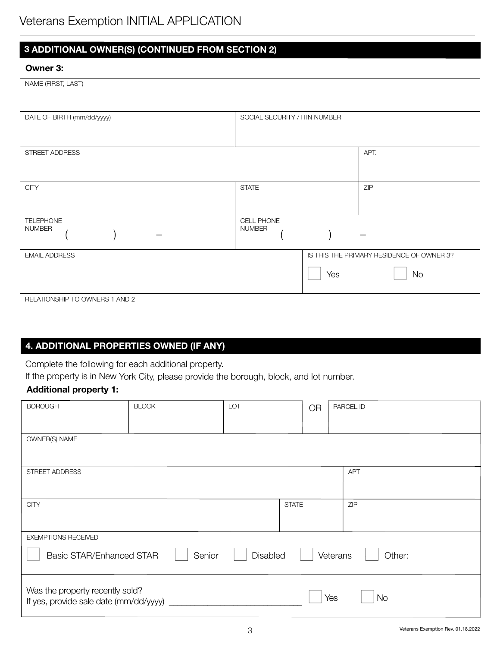# Veterans Exemption INITIAL APPLICATION

## 3 ADDITIONAL OWNER(S) (CONTINUED FROM SECTION 2)

#### Owner 3:

| NAME (FIRST, LAST)                |                               |     |                                           |
|-----------------------------------|-------------------------------|-----|-------------------------------------------|
| DATE OF BIRTH (mm/dd/yyyy)        | SOCIAL SECURITY / ITIN NUMBER |     |                                           |
| STREET ADDRESS                    |                               |     | APT.                                      |
| <b>CITY</b>                       | <b>STATE</b>                  |     | ZIP                                       |
| <b>TELEPHONE</b><br><b>NUMBER</b> | CELL PHONE<br><b>NUMBER</b>   |     |                                           |
| <b>EMAIL ADDRESS</b>              |                               |     | IS THIS THE PRIMARY RESIDENCE OF OWNER 3? |
|                                   |                               | Yes | No                                        |
| RELATIONSHIP TO OWNERS 1 AND 2    |                               |     |                                           |

## 4. ADDITIONAL PROPERTIES OWNED (IF ANY)

Complete the following for each additional property.

If the property is in New York City, please provide the borough, block, and lot number.

#### Additional property 1:

| <b>BOROUGH</b>                                                            | <b>BLOCK</b> | LOT      |              | <b>OR</b> |          | PARCEL ID  |
|---------------------------------------------------------------------------|--------------|----------|--------------|-----------|----------|------------|
| OWNER(S) NAME                                                             |              |          |              |           |          |            |
| STREET ADDRESS                                                            |              |          |              |           |          | <b>APT</b> |
| <b>CITY</b>                                                               |              |          | <b>STATE</b> |           |          | ZIP        |
| <b>EXEMPTIONS RECEIVED</b>                                                |              |          |              |           |          |            |
| <b>Basic STAR/Enhanced STAR</b>                                           | Senior       | Disabled |              |           | Veterans | Other:     |
| Was the property recently sold?<br>If yes, provide sale date (mm/dd/yyyy) |              |          |              |           | Yes      | <b>No</b>  |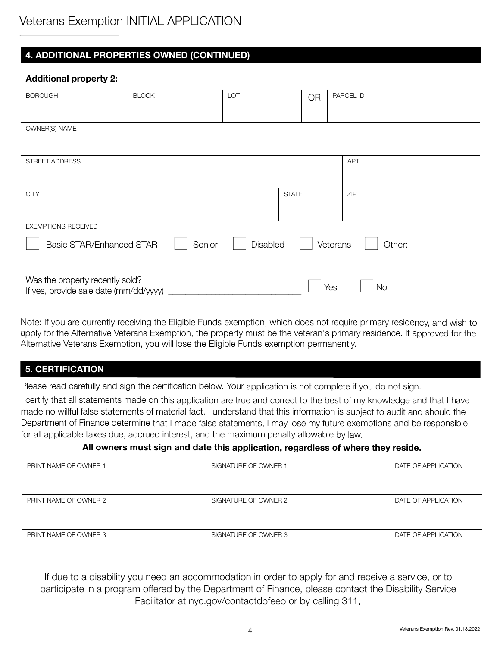# Veterans Exemption INITIAL APPLICATION

#### 4. ADDITIONAL PROPERTIES OWNED (CONTINUED)

#### Additional property 2:

| <b>BOROUGH</b>                                                            | <b>BLOCK</b> | LOT      |              | <b>OR</b> |          | PARCEL ID  |
|---------------------------------------------------------------------------|--------------|----------|--------------|-----------|----------|------------|
| OWNER(S) NAME                                                             |              |          |              |           |          |            |
| STREET ADDRESS                                                            |              |          |              |           |          | <b>APT</b> |
| <b>CITY</b>                                                               |              |          | <b>STATE</b> |           |          | ZIP        |
| EXEMPTIONS RECEIVED                                                       |              |          |              |           |          |            |
| <b>Basic STAR/Enhanced STAR</b>                                           | Senior       | Disabled |              |           | Veterans | Other:     |
| Was the property recently sold?<br>If yes, provide sale date (mm/dd/yyyy) |              |          |              |           | Yes      | <b>No</b>  |

Note: If you are currently receiving the Eligible Funds exemption, which does not require primary residency, and wish to apply for the Alternative Veterans Exemption, the property must be the veteran's primary residence. If approved for the Alternative Veterans Exemption, you will lose the Eligible Funds exemption permanently.

#### 5. CERTIFICATION

Please read carefully and sign the certification below. Your application is not complete if you do not sign.

I certify that all statements made on this application are true and correct to the best of my knowledge and that I have made no willful false statements of material fact. I understand that this information is subject to audit and should the Department of Finance determine that I made false statements, I may lose my future exemptions and be responsible for all applicable taxes due, accrued interest, and the maximum penalty allowable by law.

#### All owners must sign and date this application, regardless of where they reside.

| PRINT NAME OF OWNER 1 | SIGNATURE OF OWNER 1 | DATE OF APPLICATION |
|-----------------------|----------------------|---------------------|
|                       |                      |                     |
| PRINT NAME OF OWNER 2 | SIGNATURE OF OWNER 2 | DATE OF APPLICATION |
| PRINT NAME OF OWNER 3 | SIGNATURE OF OWNER 3 | DATE OF APPLICATION |

If due to a disability you need an accommodation in order to apply for and receive a service, or to participate in a program offered by the Department of Finance, please contact the Disability Service Facilitator at nyc.gov/contactdofeeo or by calling 311.